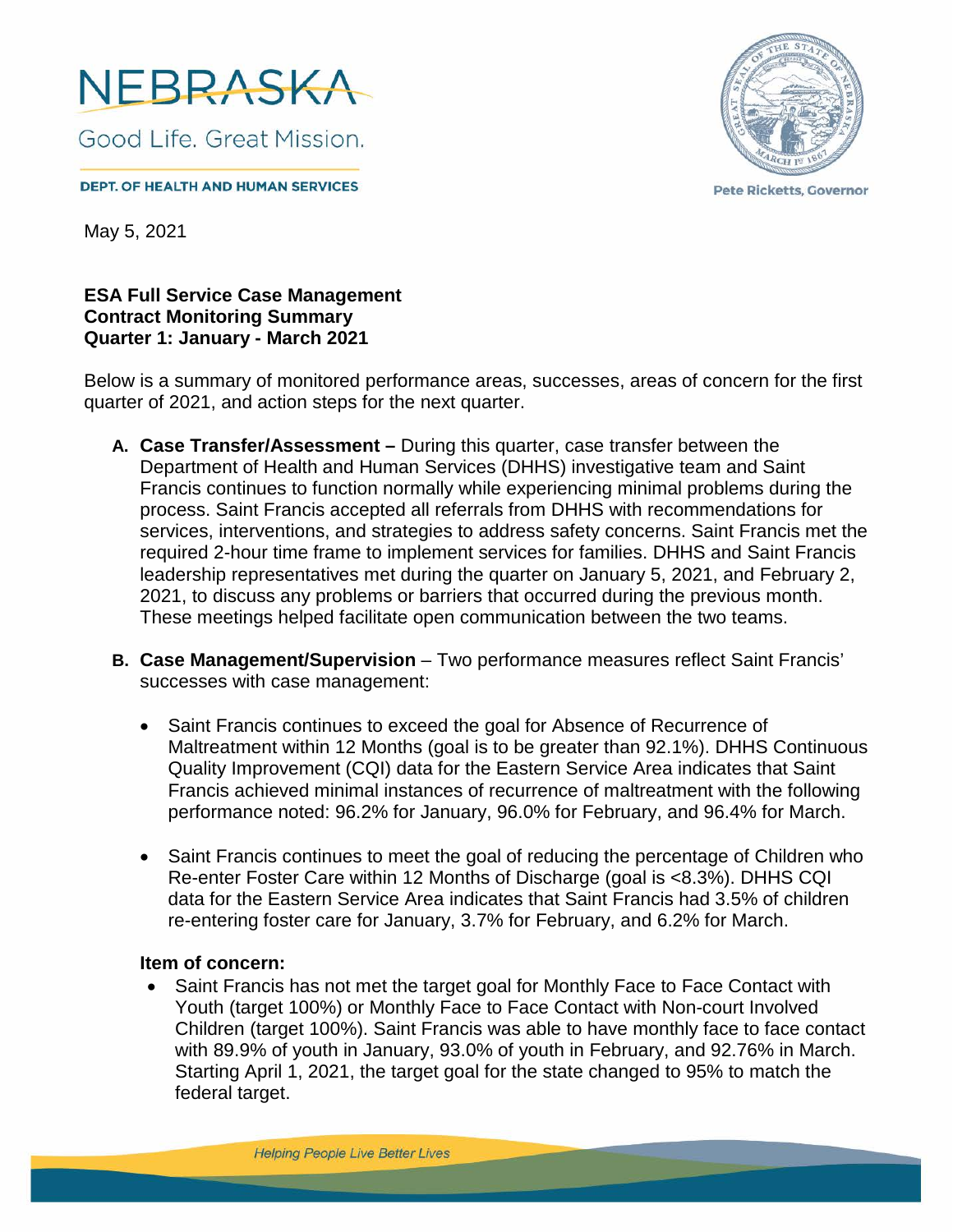

**DEPT. OF HEALTH AND HUMAN SERVICES** 



**Pete Ricketts, Governor** 

May 5, 2021

**ESA Full Service Case Management Contract Monitoring Summary Quarter 1: January - March 2021**

Below is a summary of monitored performance areas, successes, areas of concern for the first quarter of 2021, and action steps for the next quarter.

- **A. Case Transfer/Assessment** During this quarter, case transfer between the Department of Health and Human Services (DHHS) investigative team and Saint Francis continues to function normally while experiencing minimal problems during the process. Saint Francis accepted all referrals from DHHS with recommendations for services, interventions, and strategies to address safety concerns. Saint Francis met the required 2-hour time frame to implement services for families. DHHS and Saint Francis leadership representatives met during the quarter on January 5, 2021, and February 2, 2021, to discuss any problems or barriers that occurred during the previous month. These meetings helped facilitate open communication between the two teams.
- **B. Case Management/Supervision** Two performance measures reflect Saint Francis' successes with case management:
	- Saint Francis continues to exceed the goal for Absence of Recurrence of Maltreatment within 12 Months (goal is to be greater than 92.1%). DHHS Continuous Quality Improvement (CQI) data for the Eastern Service Area indicates that Saint Francis achieved minimal instances of recurrence of maltreatment with the following performance noted: 96.2% for January, 96.0% for February, and 96.4% for March.
	- Saint Francis continues to meet the goal of reducing the percentage of Children who Re-enter Foster Care within 12 Months of Discharge (goal is <8.3%). DHHS CQI data for the Eastern Service Area indicates that Saint Francis had 3.5% of children re-entering foster care for January, 3.7% for February, and 6.2% for March.

#### **Item of concern:**

• Saint Francis has not met the target goal for Monthly Face to Face Contact with Youth (target 100%) or Monthly Face to Face Contact with Non-court Involved Children (target 100%). Saint Francis was able to have monthly face to face contact with 89.9% of youth in January, 93.0% of youth in February, and 92.76% in March. Starting April 1, 2021, the target goal for the state changed to 95% to match the federal target.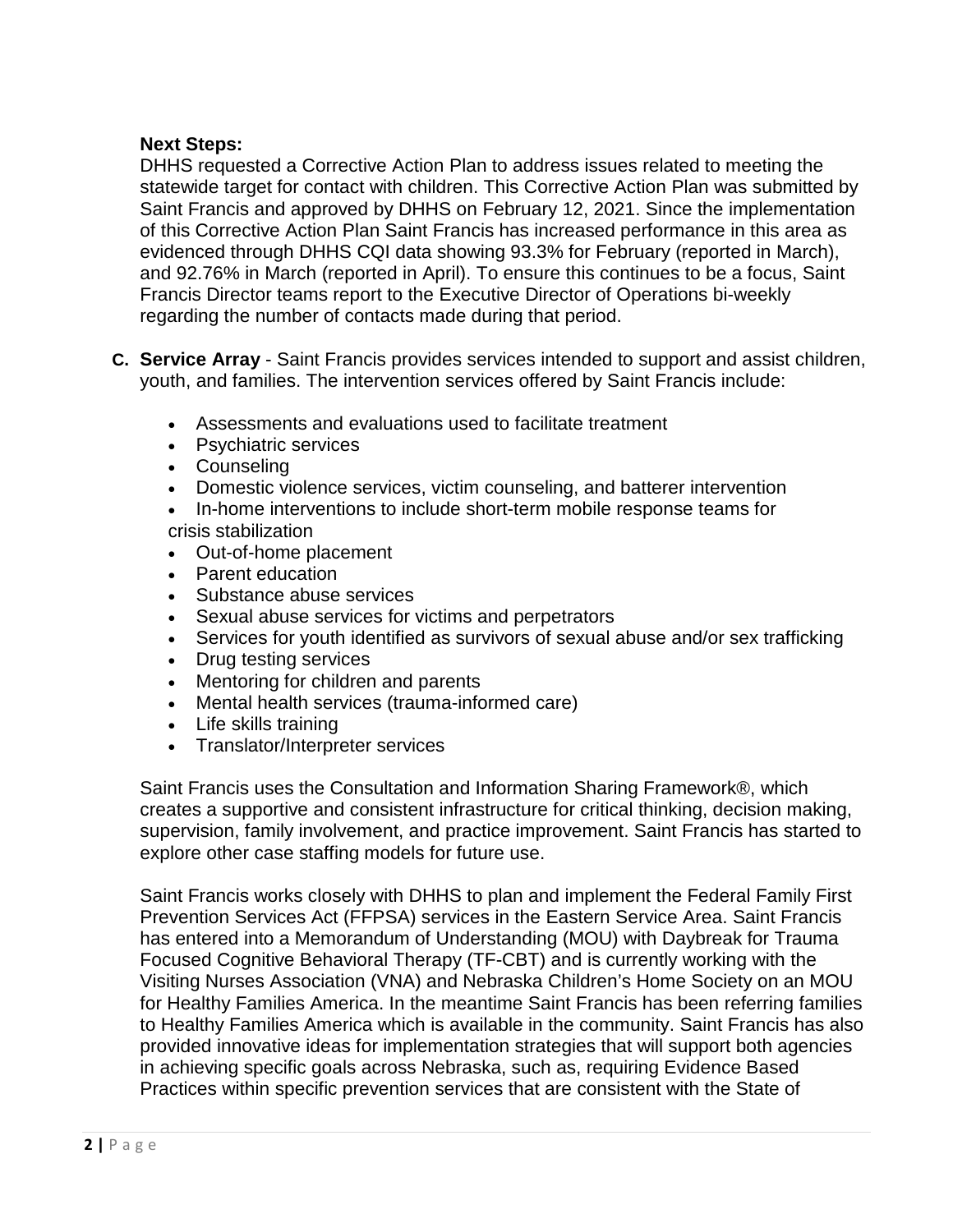### **Next Steps:**

DHHS requested a Corrective Action Plan to address issues related to meeting the statewide target for contact with children. This Corrective Action Plan was submitted by Saint Francis and approved by DHHS on February 12, 2021. Since the implementation of this Corrective Action Plan Saint Francis has increased performance in this area as evidenced through DHHS CQI data showing 93.3% for February (reported in March), and 92.76% in March (reported in April). To ensure this continues to be a focus, Saint Francis Director teams report to the Executive Director of Operations bi-weekly regarding the number of contacts made during that period.

- **C. Service Array** Saint Francis provides services intended to support and assist children, youth, and families. The intervention services offered by Saint Francis include:
	- Assessments and evaluations used to facilitate treatment
	- Psychiatric services
	- Counseling
	- Domestic violence services, victim counseling, and batterer intervention
	- In-home interventions to include short-term mobile response teams for crisis stabilization
	- Out-of-home placement
	- Parent education
	- Substance abuse services
	- Sexual abuse services for victims and perpetrators
	- Services for youth identified as survivors of sexual abuse and/or sex trafficking
	- Drug testing services
	- Mentoring for children and parents
	- Mental health services (trauma-informed care)
	- Life skills training
	- Translator/Interpreter services

Saint Francis uses the Consultation and Information Sharing Framework®, which creates a supportive and consistent infrastructure for critical thinking, decision making, supervision, family involvement, and practice improvement. Saint Francis has started to explore other case staffing models for future use.

Saint Francis works closely with DHHS to plan and implement the Federal Family First Prevention Services Act (FFPSA) services in the Eastern Service Area. Saint Francis has entered into a Memorandum of Understanding (MOU) with Daybreak for Trauma Focused Cognitive Behavioral Therapy (TF-CBT) and is currently working with the Visiting Nurses Association (VNA) and Nebraska Children's Home Society on an MOU for Healthy Families America. In the meantime Saint Francis has been referring families to Healthy Families America which is available in the community. Saint Francis has also provided innovative ideas for implementation strategies that will support both agencies in achieving specific goals across Nebraska, such as, requiring Evidence Based Practices within specific prevention services that are consistent with the State of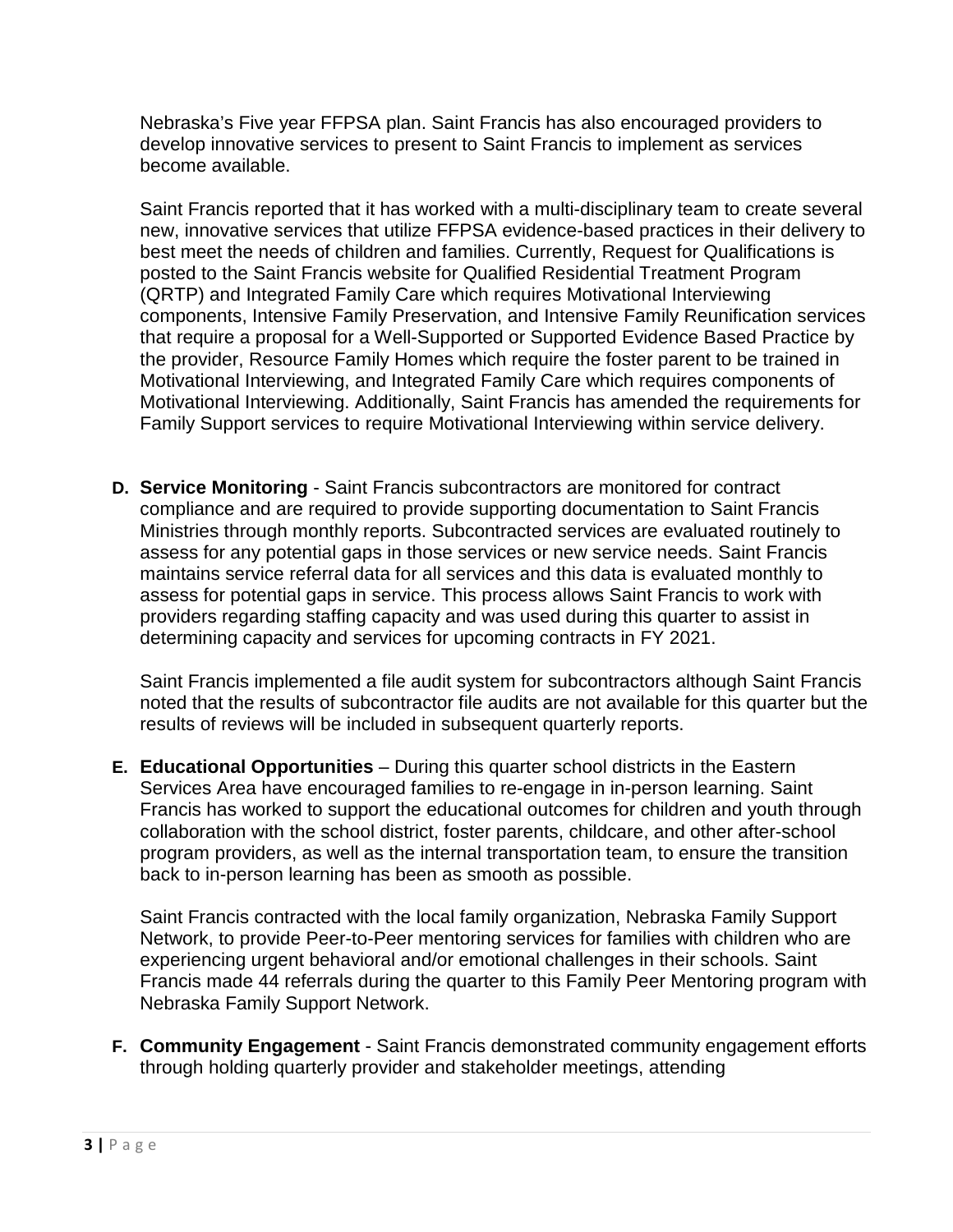Nebraska's Five year FFPSA plan. Saint Francis has also encouraged providers to develop innovative services to present to Saint Francis to implement as services become available.

Saint Francis reported that it has worked with a multi-disciplinary team to create several new, innovative services that utilize FFPSA evidence-based practices in their delivery to best meet the needs of children and families. Currently, Request for Qualifications is posted to the Saint Francis website for Qualified Residential Treatment Program (QRTP) and Integrated Family Care which requires Motivational Interviewing components, Intensive Family Preservation, and Intensive Family Reunification services that require a proposal for a Well-Supported or Supported Evidence Based Practice by the provider, Resource Family Homes which require the foster parent to be trained in Motivational Interviewing, and Integrated Family Care which requires components of Motivational Interviewing. Additionally, Saint Francis has amended the requirements for Family Support services to require Motivational Interviewing within service delivery.

**D. Service Monitoring** - Saint Francis subcontractors are monitored for contract compliance and are required to provide supporting documentation to Saint Francis Ministries through monthly reports. Subcontracted services are evaluated routinely to assess for any potential gaps in those services or new service needs. Saint Francis maintains service referral data for all services and this data is evaluated monthly to assess for potential gaps in service. This process allows Saint Francis to work with providers regarding staffing capacity and was used during this quarter to assist in determining capacity and services for upcoming contracts in FY 2021.

Saint Francis implemented a file audit system for subcontractors although Saint Francis noted that the results of subcontractor file audits are not available for this quarter but the results of reviews will be included in subsequent quarterly reports.

**E. Educational Opportunities** – During this quarter school districts in the Eastern Services Area have encouraged families to re-engage in in-person learning. Saint Francis has worked to support the educational outcomes for children and youth through collaboration with the school district, foster parents, childcare, and other after-school program providers, as well as the internal transportation team, to ensure the transition back to in-person learning has been as smooth as possible.

Saint Francis contracted with the local family organization, Nebraska Family Support Network, to provide Peer-to-Peer mentoring services for families with children who are experiencing urgent behavioral and/or emotional challenges in their schools. Saint Francis made 44 referrals during the quarter to this Family Peer Mentoring program with Nebraska Family Support Network.

**F. Community Engagement** - Saint Francis demonstrated community engagement efforts through holding quarterly provider and stakeholder meetings, attending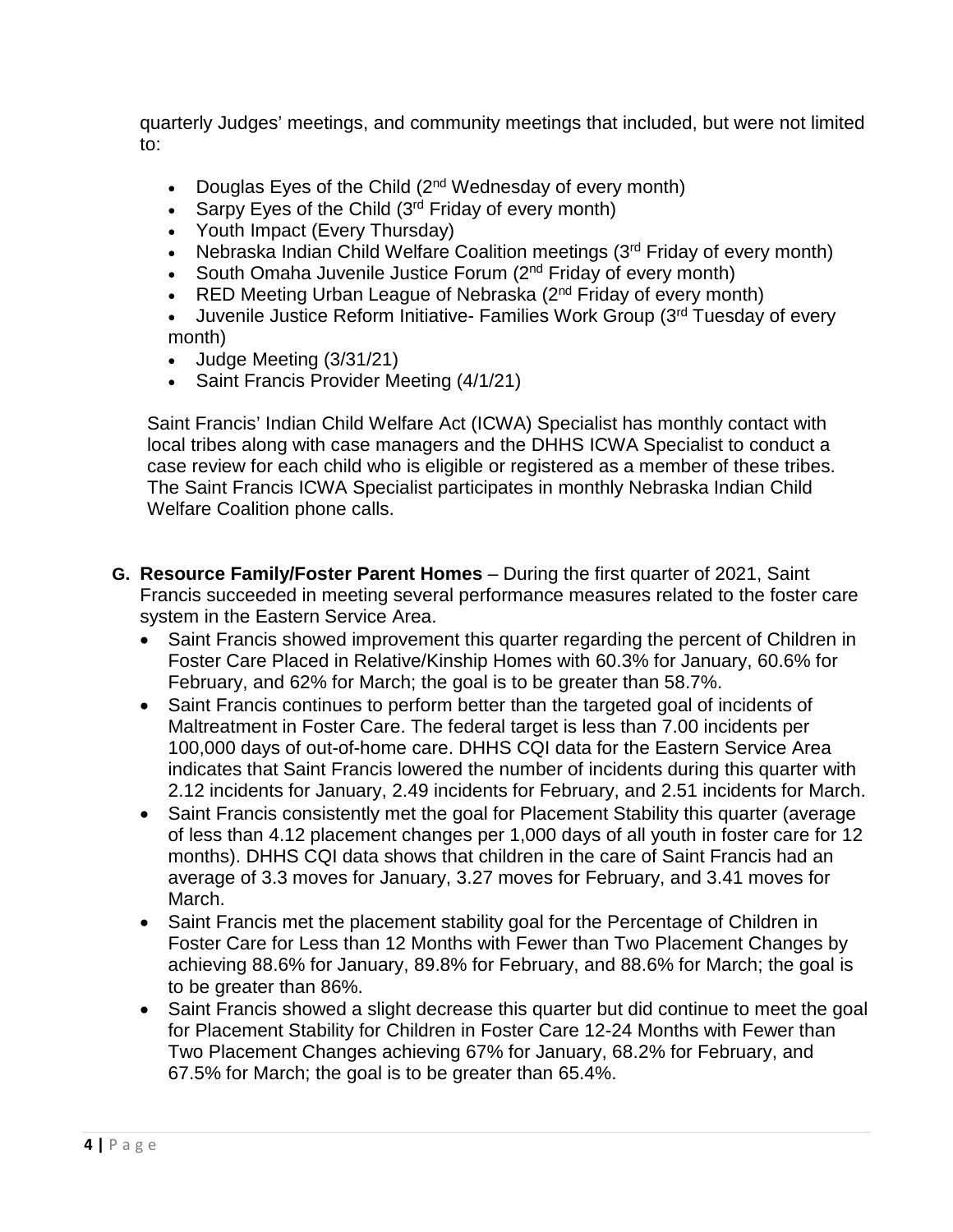quarterly Judges' meetings, and community meetings that included, but were not limited to:

- Douglas Eyes of the Child  $(2^{nd}$  Wednesday of every month)
- Sarpy Eyes of the Child  $(3<sup>rd</sup>$  Friday of every month)
- Youth Impact (Every Thursday)
- Nebraska Indian Child Welfare Coalition meetings (3<sup>rd</sup> Friday of every month)
- South Omaha Juvenile Justice Forum  $(2^{nd}$  Friday of every month)
- RED Meeting Urban League of Nebraska  $(2^{nd}$  Friday of every month)
- Juvenile Justice Reform Initiative- Families Work Group (3<sup>rd</sup> Tuesday of every month)
- Judge Meeting (3/31/21)
- Saint Francis Provider Meeting (4/1/21)

Saint Francis' Indian Child Welfare Act (ICWA) Specialist has monthly contact with local tribes along with case managers and the DHHS ICWA Specialist to conduct a case review for each child who is eligible or registered as a member of these tribes. The Saint Francis ICWA Specialist participates in monthly Nebraska Indian Child Welfare Coalition phone calls.

- **G. Resource Family/Foster Parent Homes** During the first quarter of 2021, Saint Francis succeeded in meeting several performance measures related to the foster care system in the Eastern Service Area.
	- Saint Francis showed improvement this quarter regarding the percent of Children in Foster Care Placed in Relative/Kinship Homes with 60.3% for January, 60.6% for February, and 62% for March; the goal is to be greater than 58.7%.
	- Saint Francis continues to perform better than the targeted goal of incidents of Maltreatment in Foster Care. The federal target is less than 7.00 incidents per 100,000 days of out-of-home care. DHHS CQI data for the Eastern Service Area indicates that Saint Francis lowered the number of incidents during this quarter with 2.12 incidents for January, 2.49 incidents for February, and 2.51 incidents for March.
	- Saint Francis consistently met the goal for Placement Stability this quarter (average of less than 4.12 placement changes per 1,000 days of all youth in foster care for 12 months). DHHS CQI data shows that children in the care of Saint Francis had an average of 3.3 moves for January, 3.27 moves for February, and 3.41 moves for March.
	- Saint Francis met the placement stability goal for the Percentage of Children in Foster Care for Less than 12 Months with Fewer than Two Placement Changes by achieving 88.6% for January, 89.8% for February, and 88.6% for March; the goal is to be greater than 86%.
	- Saint Francis showed a slight decrease this quarter but did continue to meet the goal for Placement Stability for Children in Foster Care 12-24 Months with Fewer than Two Placement Changes achieving 67% for January, 68.2% for February, and 67.5% for March; the goal is to be greater than 65.4%.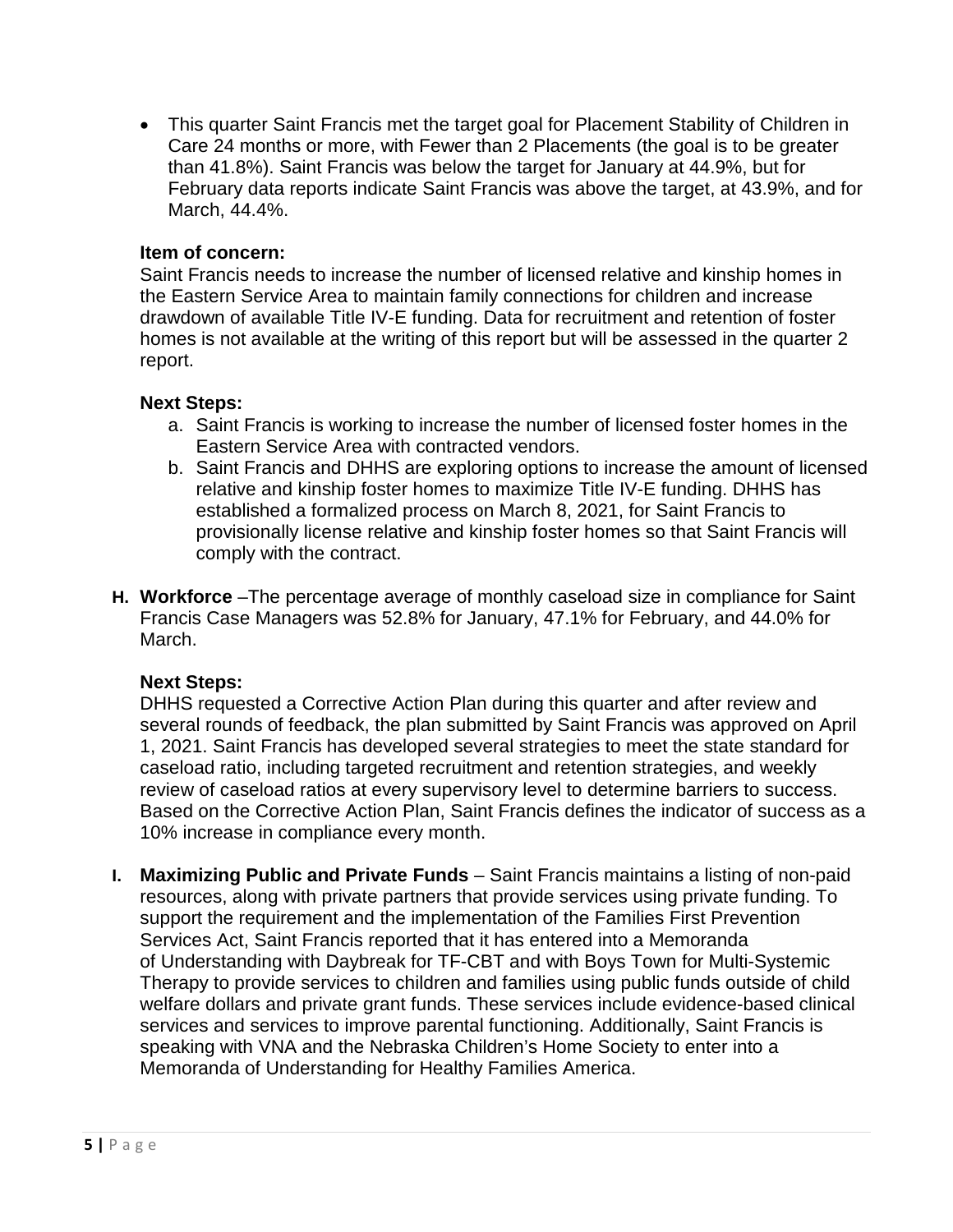• This quarter Saint Francis met the target goal for Placement Stability of Children in Care 24 months or more, with Fewer than 2 Placements (the goal is to be greater than 41.8%). Saint Francis was below the target for January at 44.9%, but for February data reports indicate Saint Francis was above the target, at 43.9%, and for March, 44.4%.

### **Item of concern:**

Saint Francis needs to increase the number of licensed relative and kinship homes in the Eastern Service Area to maintain family connections for children and increase drawdown of available Title IV-E funding. Data for recruitment and retention of foster homes is not available at the writing of this report but will be assessed in the quarter 2 report.

### **Next Steps:**

- a. Saint Francis is working to increase the number of licensed foster homes in the Eastern Service Area with contracted vendors.
- b. Saint Francis and DHHS are exploring options to increase the amount of licensed relative and kinship foster homes to maximize Title IV-E funding. DHHS has established a formalized process on March 8, 2021, for Saint Francis to provisionally license relative and kinship foster homes so that Saint Francis will comply with the contract.
- **H. Workforce** –The percentage average of monthly caseload size in compliance for Saint Francis Case Managers was 52.8% for January, 47.1% for February, and 44.0% for March.

### **Next Steps:**

DHHS requested a Corrective Action Plan during this quarter and after review and several rounds of feedback, the plan submitted by Saint Francis was approved on April 1, 2021. Saint Francis has developed several strategies to meet the state standard for caseload ratio, including targeted recruitment and retention strategies, and weekly review of caseload ratios at every supervisory level to determine barriers to success. Based on the Corrective Action Plan, Saint Francis defines the indicator of success as a 10% increase in compliance every month.

**I. Maximizing Public and Private Funds** – Saint Francis maintains a listing of non-paid resources, along with private partners that provide services using private funding. To support the requirement and the implementation of the Families First Prevention Services Act, Saint Francis reported that it has entered into a Memoranda of Understanding with Daybreak for TF-CBT and with Boys Town for Multi-Systemic Therapy to provide services to children and families using public funds outside of child welfare dollars and private grant funds. These services include evidence-based clinical services and services to improve parental functioning. Additionally, Saint Francis is speaking with VNA and the Nebraska Children's Home Society to enter into a Memoranda of Understanding for Healthy Families America.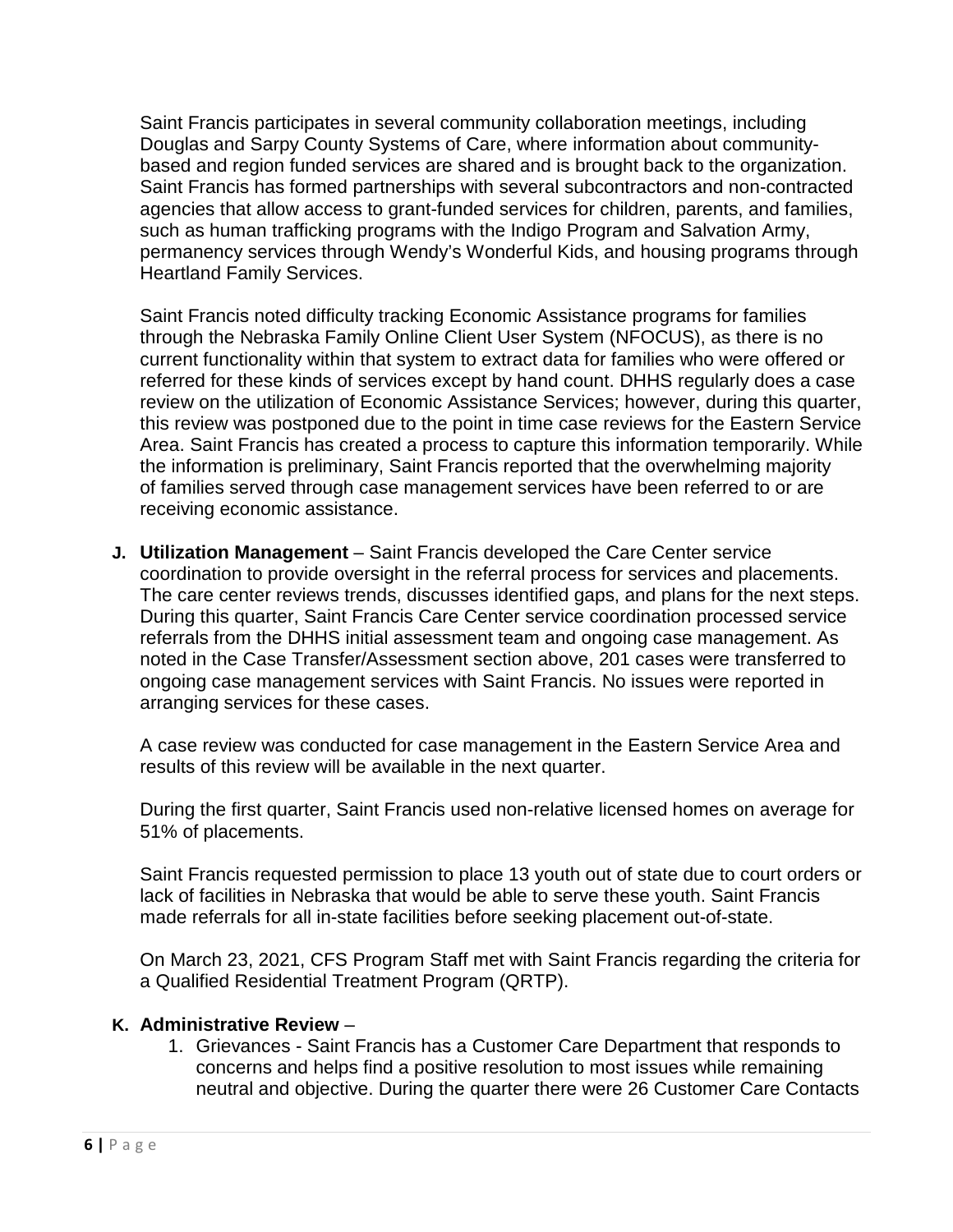Saint Francis participates in several community collaboration meetings, including Douglas and Sarpy County Systems of Care, where information about communitybased and region funded services are shared and is brought back to the organization. Saint Francis has formed partnerships with several subcontractors and non-contracted agencies that allow access to grant-funded services for children, parents, and families, such as human trafficking programs with the Indigo Program and Salvation Army, permanency services through Wendy's Wonderful Kids, and housing programs through Heartland Family Services.

Saint Francis noted difficulty tracking Economic Assistance programs for families through the Nebraska Family Online Client User System (NFOCUS), as there is no current functionality within that system to extract data for families who were offered or referred for these kinds of services except by hand count. DHHS regularly does a case review on the utilization of Economic Assistance Services; however, during this quarter, this review was postponed due to the point in time case reviews for the Eastern Service Area. Saint Francis has created a process to capture this information temporarily. While the information is preliminary, Saint Francis reported that the overwhelming majority of families served through case management services have been referred to or are receiving economic assistance.

**J. Utilization Management** – Saint Francis developed the Care Center service coordination to provide oversight in the referral process for services and placements. The care center reviews trends, discusses identified gaps, and plans for the next steps. During this quarter, Saint Francis Care Center service coordination processed service referrals from the DHHS initial assessment team and ongoing case management. As noted in the Case Transfer/Assessment section above, 201 cases were transferred to ongoing case management services with Saint Francis. No issues were reported in arranging services for these cases.

A case review was conducted for case management in the Eastern Service Area and results of this review will be available in the next quarter.

During the first quarter, Saint Francis used non-relative licensed homes on average for 51% of placements.

Saint Francis requested permission to place 13 youth out of state due to court orders or lack of facilities in Nebraska that would be able to serve these youth. Saint Francis made referrals for all in-state facilities before seeking placement out-of-state.

On March 23, 2021, CFS Program Staff met with Saint Francis regarding the criteria for a Qualified Residential Treatment Program (QRTP).

# **K. Administrative Review** –

1. Grievances - Saint Francis has a Customer Care Department that responds to concerns and helps find a positive resolution to most issues while remaining neutral and objective. During the quarter there were 26 Customer Care Contacts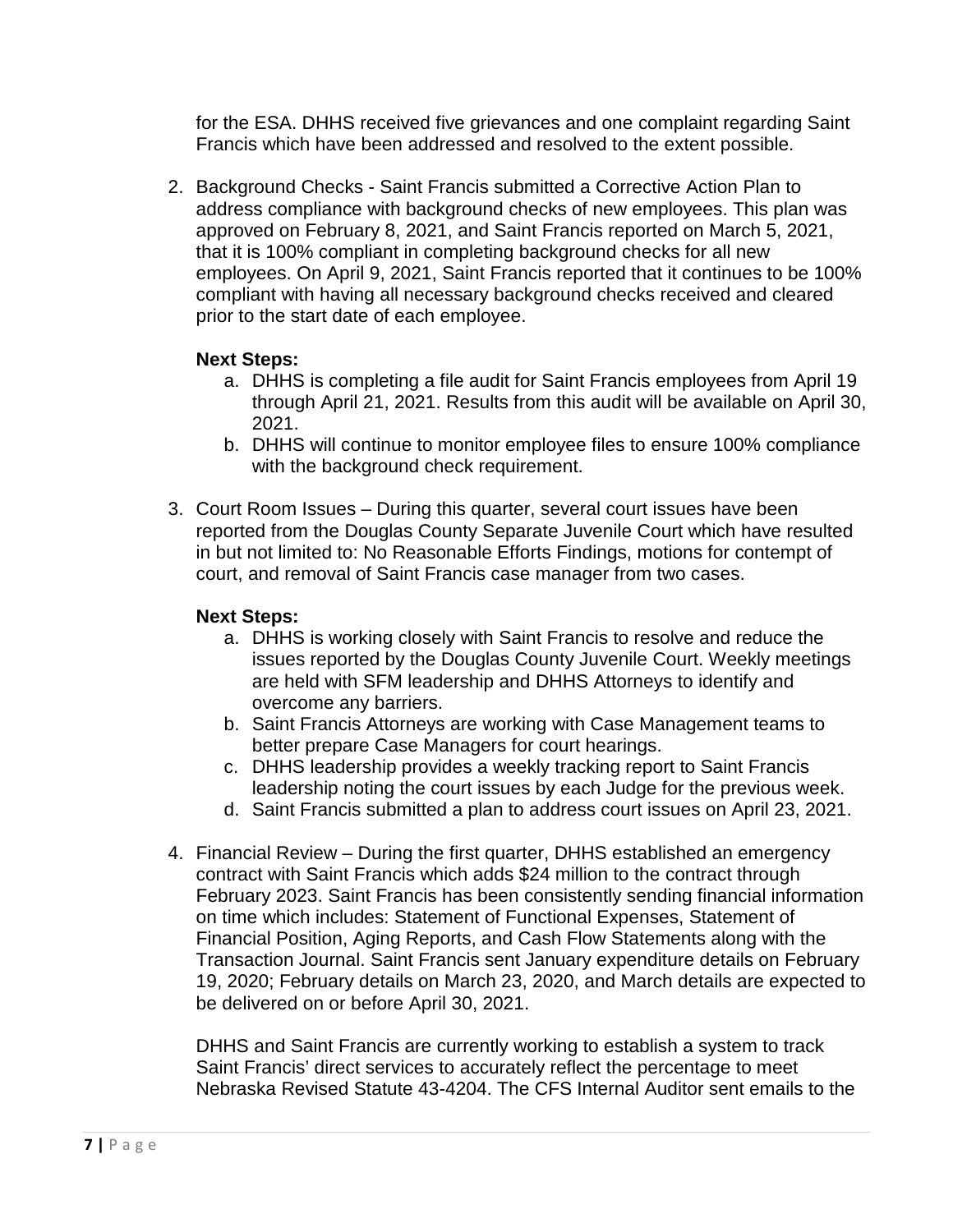for the ESA. DHHS received five grievances and one complaint regarding Saint Francis which have been addressed and resolved to the extent possible.

2. Background Checks - Saint Francis submitted a Corrective Action Plan to address compliance with background checks of new employees. This plan was approved on February 8, 2021, and Saint Francis reported on March 5, 2021, that it is 100% compliant in completing background checks for all new employees. On April 9, 2021, Saint Francis reported that it continues to be 100% compliant with having all necessary background checks received and cleared prior to the start date of each employee.

# **Next Steps:**

- a. DHHS is completing a file audit for Saint Francis employees from April 19 through April 21, 2021. Results from this audit will be available on April 30, 2021.
- b. DHHS will continue to monitor employee files to ensure 100% compliance with the background check requirement.
- 3. Court Room Issues During this quarter, several court issues have been reported from the Douglas County Separate Juvenile Court which have resulted in but not limited to: No Reasonable Efforts Findings, motions for contempt of court, and removal of Saint Francis case manager from two cases.

# **Next Steps:**

- a. DHHS is working closely with Saint Francis to resolve and reduce the issues reported by the Douglas County Juvenile Court. Weekly meetings are held with SFM leadership and DHHS Attorneys to identify and overcome any barriers.
- b. Saint Francis Attorneys are working with Case Management teams to better prepare Case Managers for court hearings.
- c. DHHS leadership provides a weekly tracking report to Saint Francis leadership noting the court issues by each Judge for the previous week.
- d. Saint Francis submitted a plan to address court issues on April 23, 2021.
- 4. Financial Review During the first quarter, DHHS established an emergency contract with Saint Francis which adds \$24 million to the contract through February 2023. Saint Francis has been consistently sending financial information on time which includes: Statement of Functional Expenses, Statement of Financial Position, Aging Reports, and Cash Flow Statements along with the Transaction Journal. Saint Francis sent January expenditure details on February 19, 2020; February details on March 23, 2020, and March details are expected to be delivered on or before April 30, 2021.

DHHS and Saint Francis are currently working to establish a system to track Saint Francis' direct services to accurately reflect the percentage to meet Nebraska Revised Statute 43-4204. The CFS Internal Auditor sent emails to the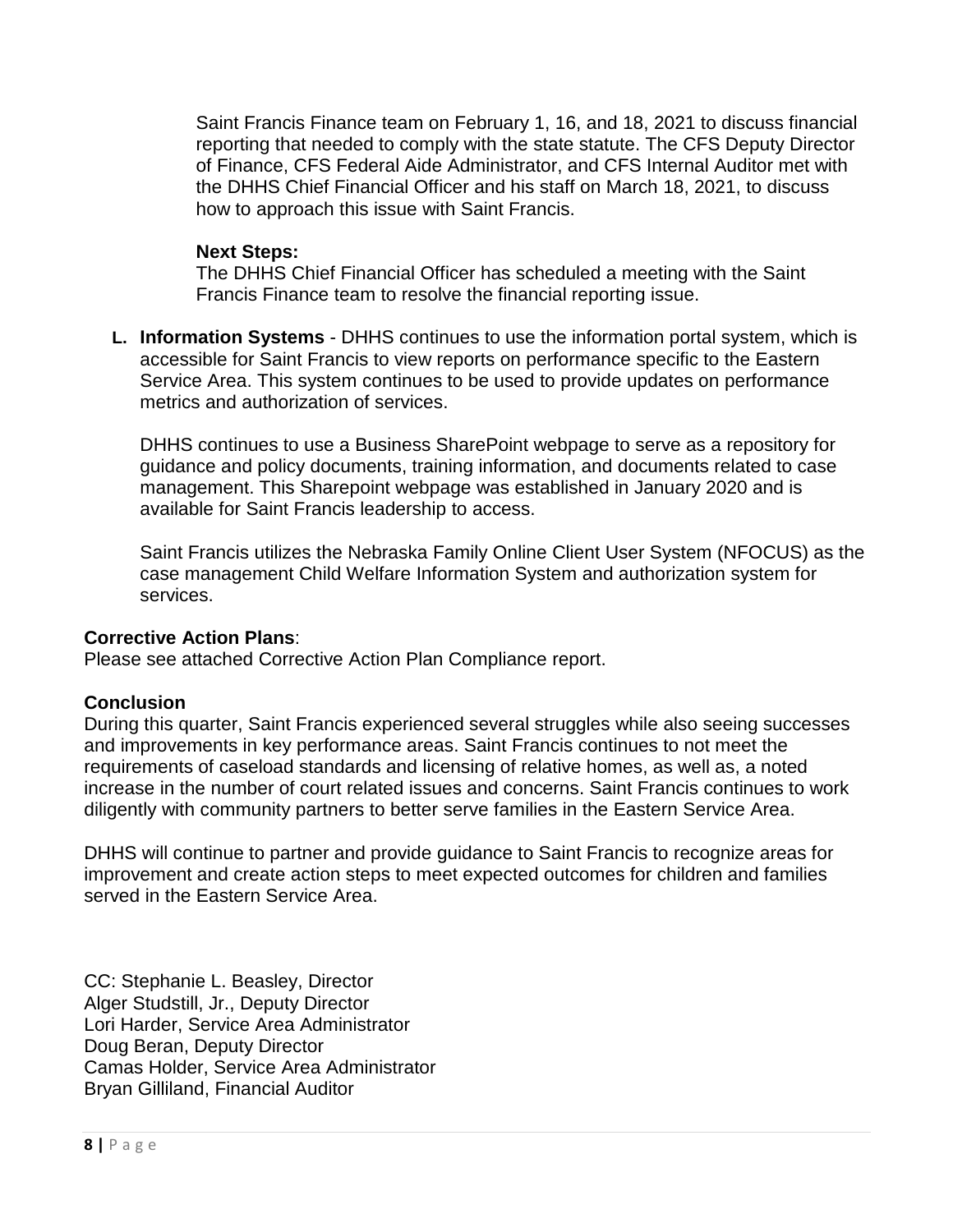Saint Francis Finance team on February 1, 16, and 18, 2021 to discuss financial reporting that needed to comply with the state statute. The CFS Deputy Director of Finance, CFS Federal Aide Administrator, and CFS Internal Auditor met with the DHHS Chief Financial Officer and his staff on March 18, 2021, to discuss how to approach this issue with Saint Francis.

### **Next Steps:**

The DHHS Chief Financial Officer has scheduled a meeting with the Saint Francis Finance team to resolve the financial reporting issue.

**L. Information Systems** - DHHS continues to use the information portal system, which is accessible for Saint Francis to view reports on performance specific to the Eastern Service Area. This system continues to be used to provide updates on performance metrics and authorization of services.

DHHS continues to use a Business SharePoint webpage to serve as a repository for guidance and policy documents, training information, and documents related to case management. This Sharepoint webpage was established in January 2020 and is available for Saint Francis leadership to access.

Saint Francis utilizes the Nebraska Family Online Client User System (NFOCUS) as the case management Child Welfare Information System and authorization system for services.

# **Corrective Action Plans**:

Please see attached Corrective Action Plan Compliance report.

# **Conclusion**

During this quarter, Saint Francis experienced several struggles while also seeing successes and improvements in key performance areas. Saint Francis continues to not meet the requirements of caseload standards and licensing of relative homes, as well as, a noted increase in the number of court related issues and concerns. Saint Francis continues to work diligently with community partners to better serve families in the Eastern Service Area.

DHHS will continue to partner and provide guidance to Saint Francis to recognize areas for improvement and create action steps to meet expected outcomes for children and families served in the Eastern Service Area.

CC: Stephanie L. Beasley, Director Alger Studstill, Jr., Deputy Director Lori Harder, Service Area Administrator Doug Beran, Deputy Director Camas Holder, Service Area Administrator Bryan Gilliland, Financial Auditor